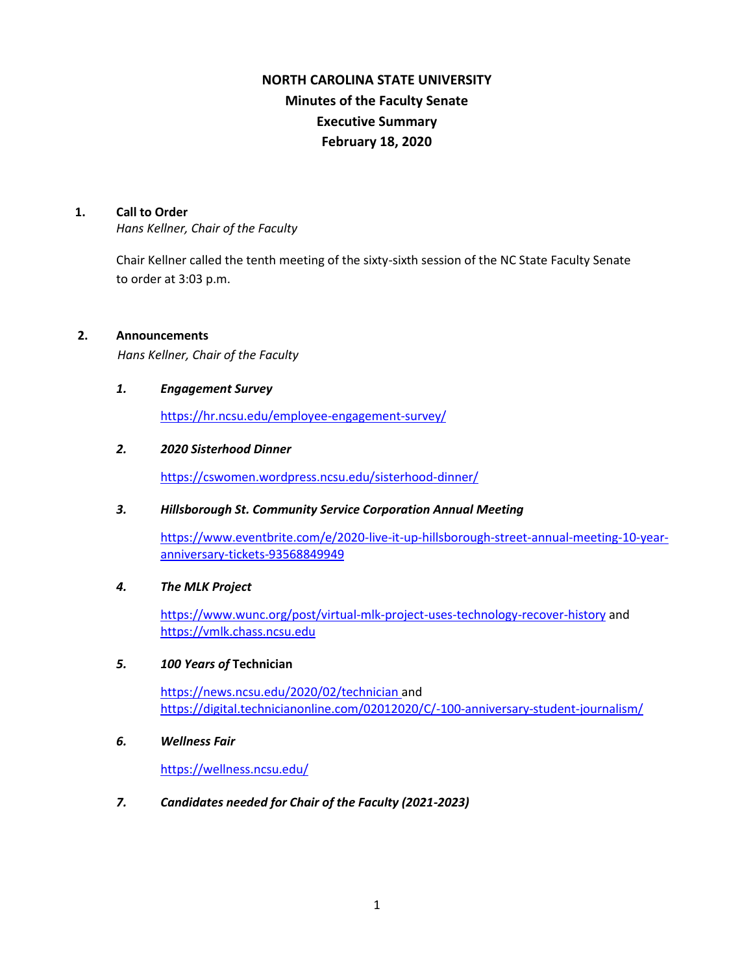# **NORTH CAROLINA STATE UNIVERSITY Minutes of the Faculty Senate Executive Summary February 18, 2020**

#### **1. Call to Order**

*Hans Kellner, Chair of the Faculty*

Chair Kellner called the tenth meeting of the sixty-sixth session of the NC State Faculty Senate to order at 3:03 p.m.

# **2. Announcements**

*Hans Kellner, Chair of the Faculty*

#### *1. Engagement Survey*

<https://hr.ncsu.edu/employee-engagement-survey/>

#### *2. 2020 Sisterhood Dinner*

<https://cswomen.wordpress.ncsu.edu/sisterhood-dinner/>

# *3. Hillsborough St. Community Service Corporation Annual Meeting*

[https://www.eventbrite.com/e/2020-live-it-up-hillsborough-street-annual-meeting-10-year](https://www.eventbrite.com/e/2020-live-it-up-hillsborough-street-annual-meeting-10-year-anniversary-tickets-93568849949)[anniversary-tickets-93568849949](https://www.eventbrite.com/e/2020-live-it-up-hillsborough-street-annual-meeting-10-year-anniversary-tickets-93568849949)

#### *4. The MLK Project*

<https://www.wunc.org/post/virtual-mlk-project-uses-technology-recover-history> and [https://vmlk.chass.ncsu.edu](https://vmlk.chass.ncsu.edu/)

#### *5. 100 Years of* **Technician**

<https://news.ncsu.edu/2020/02/technician> and <https://digital.technicianonline.com/02012020/C/-100-anniversary-student-journalism/>

#### *6. Wellness Fair*

<https://wellness.ncsu.edu/>

# *7. Candidates needed for Chair of the Faculty (2021-2023)*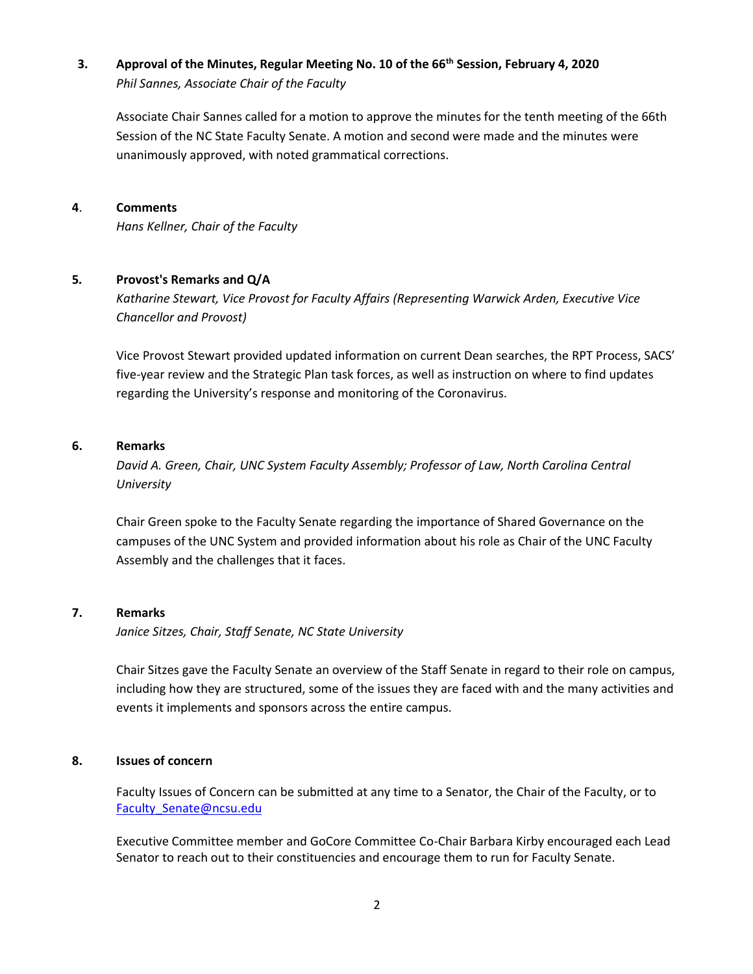# **3. Approval of the Minutes, Regular Meeting No. 10 of the 66th Session, February 4, 2020** *Phil Sannes, Associate Chair of the Faculty*

Associate Chair Sannes called for a motion to approve the minutes for the tenth meeting of the 66th Session of the NC State Faculty Senate. A motion and second were made and the minutes were unanimously approved, with noted grammatical corrections.

# **4**. **Comments**

*Hans Kellner, Chair of the Faculty*

# **5***.* **Provost's Remarks and Q/A**

*Katharine Stewart, Vice Provost for Faculty Affairs (Representing Warwick Arden, Executive Vice Chancellor and Provost)*

Vice Provost Stewart provided updated information on current Dean searches, the RPT Process, SACS' five-year review and the Strategic Plan task forces, as well as instruction on where to find updates regarding the University's response and monitoring of the Coronavirus.

# **6. Remarks**

*David A. Green, Chair, UNC System Faculty Assembly; Professor of Law, North Carolina Central University*

Chair Green spoke to the Faculty Senate regarding the importance of Shared Governance on the campuses of the UNC System and provided information about his role as Chair of the UNC Faculty Assembly and the challenges that it faces.

# **7. Remarks**

*Janice Sitzes, Chair, Staff Senate, NC State University*

Chair Sitzes gave the Faculty Senate an overview of the Staff Senate in regard to their role on campus, including how they are structured, some of the issues they are faced with and the many activities and events it implements and sponsors across the entire campus.

# **8. Issues of concern**

Faculty Issues of Concern can be submitted at any time to a Senator, the Chair of the Faculty, or to Faculty Senate@ncsu.edu

Executive Committee member and GoCore Committee Co-Chair Barbara Kirby encouraged each Lead Senator to reach out to their constituencies and encourage them to run for Faculty Senate.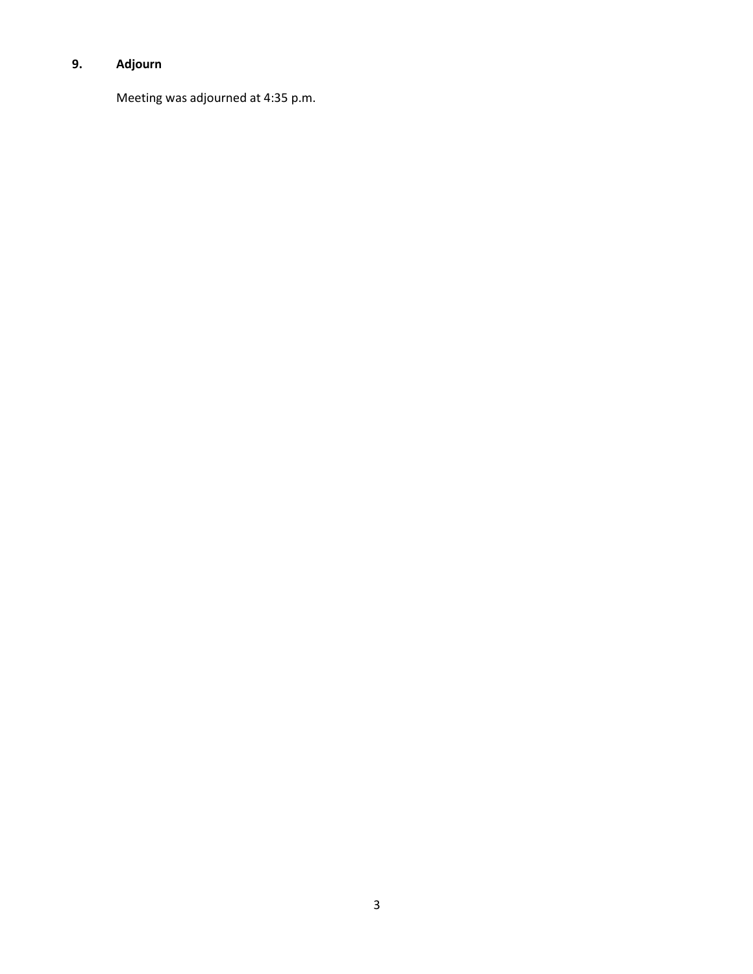# **9. Adjourn**

Meeting was adjourned at 4:35 p.m.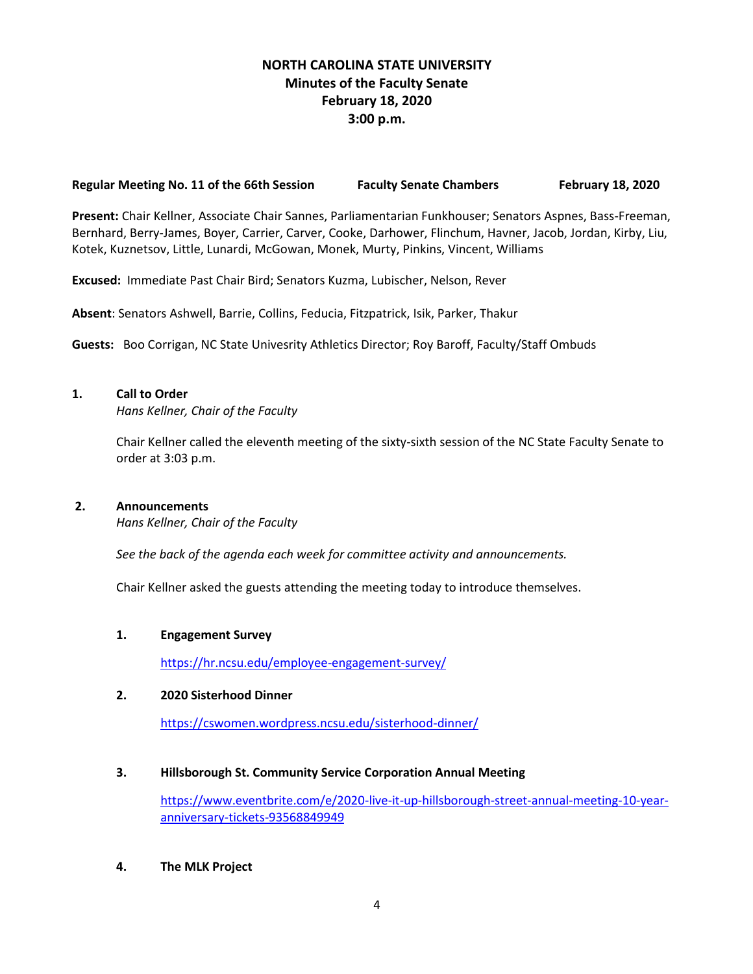# **NORTH CAROLINA STATE UNIVERSITY Minutes of the Faculty Senate February 18, 2020 3:00 p.m.**

#### **Regular Meeting No. 11 of the 66th Session Faculty Senate Chambers February 18, 2020**

**Present:** Chair Kellner, Associate Chair Sannes, Parliamentarian Funkhouser; Senators Aspnes, Bass-Freeman, Bernhard, Berry-James, Boyer, Carrier, Carver, Cooke, Darhower, Flinchum, Havner, Jacob, Jordan, Kirby, Liu, Kotek, Kuznetsov, Little, Lunardi, McGowan, Monek, Murty, Pinkins, Vincent, Williams

**Excused:** Immediate Past Chair Bird; Senators Kuzma, Lubischer, Nelson, Rever

**Absent**: Senators Ashwell, Barrie, Collins, Feducia, Fitzpatrick, Isik, Parker, Thakur

**Guests:** Boo Corrigan, NC State Univesrity Athletics Director; Roy Baroff, Faculty/Staff Ombuds

#### **1. Call to Order**

*Hans Kellner, Chair of the Faculty*

Chair Kellner called the eleventh meeting of the sixty-sixth session of the NC State Faculty Senate to order at 3:03 p.m.

# **2. Announcements**

*Hans Kellner, Chair of the Faculty*

 *See the back of the agenda each week for committee activity and announcements.*

Chair Kellner asked the guests attending the meeting today to introduce themselves.

#### **1. Engagement Survey**

<https://hr.ncsu.edu/employee-engagement-survey/>

# **2. 2020 Sisterhood Dinner**

<https://cswomen.wordpress.ncsu.edu/sisterhood-dinner/>

#### **3. Hillsborough St. Community Service Corporation Annual Meeting**

[https://www.eventbrite.com/e/2020-live-it-up-hillsborough-street-annual-meeting-10-year](https://www.eventbrite.com/e/2020-live-it-up-hillsborough-street-annual-meeting-10-year-anniversary-tickets-93568849949)[anniversary-tickets-93568849949](https://www.eventbrite.com/e/2020-live-it-up-hillsborough-street-annual-meeting-10-year-anniversary-tickets-93568849949)

**4. The MLK Project**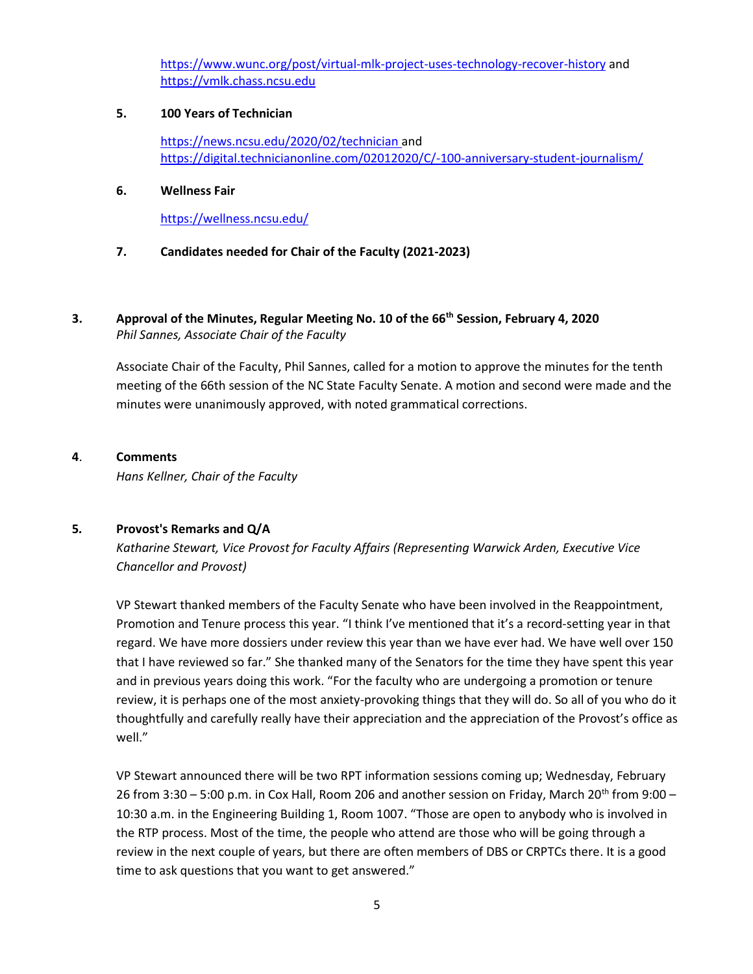<https://www.wunc.org/post/virtual-mlk-project-uses-technology-recover-history> and [https://vmlk.chass.ncsu.edu](https://vmlk.chass.ncsu.edu/)

# **5. 100 Years of Technician**

<https://news.ncsu.edu/2020/02/technician> and <https://digital.technicianonline.com/02012020/C/-100-anniversary-student-journalism/>

# **6. Wellness Fair**

<https://wellness.ncsu.edu/>

# **7. Candidates needed for Chair of the Faculty (2021-2023)**

# **3. Approval of the Minutes, Regular Meeting No. 10 of the 66th Session, February 4, 2020** *Phil Sannes, Associate Chair of the Faculty*

Associate Chair of the Faculty, Phil Sannes, called for a motion to approve the minutes for the tenth meeting of the 66th session of the NC State Faculty Senate. A motion and second were made and the minutes were unanimously approved, with noted grammatical corrections.

# **4**. **Comments**

*Hans Kellner, Chair of the Faculty*

# **5***.* **Provost's Remarks and Q/A**

*Katharine Stewart, Vice Provost for Faculty Affairs (Representing Warwick Arden, Executive Vice Chancellor and Provost)*

VP Stewart thanked members of the Faculty Senate who have been involved in the Reappointment, Promotion and Tenure process this year. "I think I've mentioned that it's a record-setting year in that regard. We have more dossiers under review this year than we have ever had. We have well over 150 that I have reviewed so far." She thanked many of the Senators for the time they have spent this year and in previous years doing this work. "For the faculty who are undergoing a promotion or tenure review, it is perhaps one of the most anxiety-provoking things that they will do. So all of you who do it thoughtfully and carefully really have their appreciation and the appreciation of the Provost's office as well."

VP Stewart announced there will be two RPT information sessions coming up; Wednesday, February 26 from 3:30 – 5:00 p.m. in Cox Hall, Room 206 and another session on Friday, March 20<sup>th</sup> from 9:00 – 10:30 a.m. in the Engineering Building 1, Room 1007. "Those are open to anybody who is involved in the RTP process. Most of the time, the people who attend are those who will be going through a review in the next couple of years, but there are often members of DBS or CRPTCs there. It is a good time to ask questions that you want to get answered."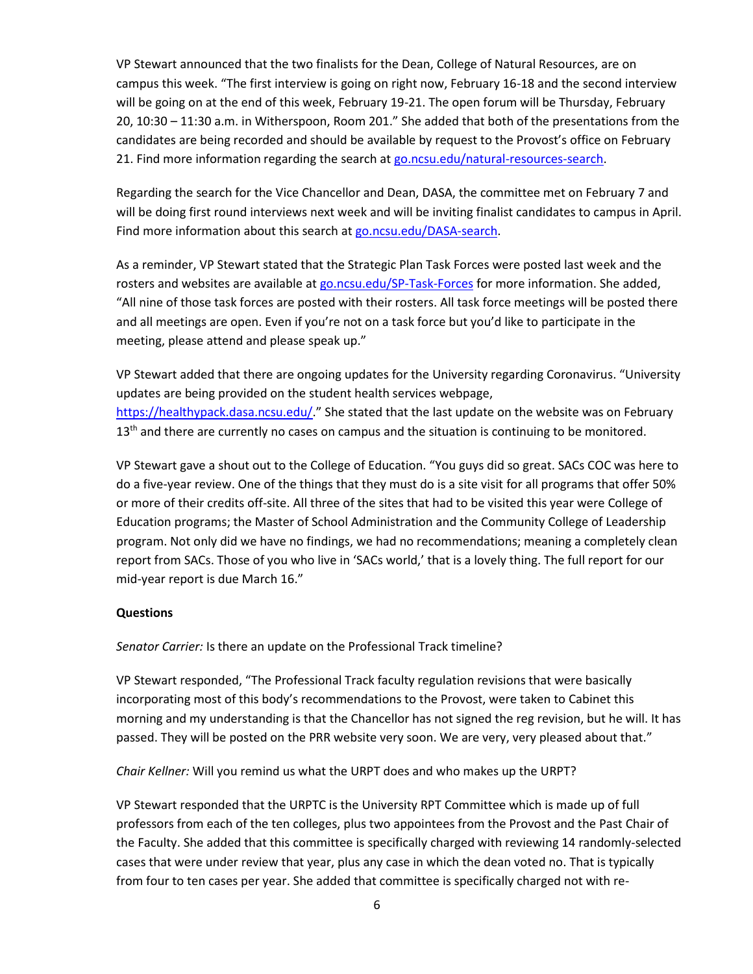VP Stewart announced that the two finalists for the Dean, College of Natural Resources, are on campus this week. "The first interview is going on right now, February 16-18 and the second interview will be going on at the end of this week, February 19-21. The open forum will be Thursday, February 20, 10:30 – 11:30 a.m. in Witherspoon, Room 201." She added that both of the presentations from the candidates are being recorded and should be available by request to the Provost's office on February 21. Find more information regarding the search a[t go.ncsu.edu/natural-resources-search.](https://provost.ncsu.edu/academic-leadership/administrator-searches/search-for-dean-college-of-natural-resources/)

Regarding the search for the Vice Chancellor and Dean, DASA, the committee met on February 7 and will be doing first round interviews next week and will be inviting finalist candidates to campus in April. Find more information about this search at [go.ncsu.edu/DASA-search.](https://provost.ncsu.edu/academic-leadership/administrator-searches/search-for-vc-dean-division-of-academic-and-student-affairs/)

As a reminder, VP Stewart stated that the Strategic Plan Task Forces were posted last week and the rosters and websites are available at [go.ncsu.edu/SP-Task-Forces](https://strategicplan.ncsu.edu/task-forces/) for more information. She added, "All nine of those task forces are posted with their rosters. All task force meetings will be posted there and all meetings are open. Even if you're not on a task force but you'd like to participate in the meeting, please attend and please speak up."

VP Stewart added that there are ongoing updates for the University regarding Coronavirus. "University updates are being provided on the student health services webpage, <https://healthypack.dasa.ncsu.edu/>." She stated that the last update on the website was on February  $13<sup>th</sup>$  and there are currently no cases on campus and the situation is continuing to be monitored.

VP Stewart gave a shout out to the College of Education. "You guys did so great. SACs COC was here to do a five-year review. One of the things that they must do is a site visit for all programs that offer 50% or more of their credits off-site. All three of the sites that had to be visited this year were College of Education programs; the Master of School Administration and the Community College of Leadership program. Not only did we have no findings, we had no recommendations; meaning a completely clean report from SACs. Those of you who live in 'SACs world,' that is a lovely thing. The full report for our mid-year report is due March 16."

# **Questions**

*Senator Carrier:* Is there an update on the Professional Track timeline?

VP Stewart responded, "The Professional Track faculty regulation revisions that were basically incorporating most of this body's recommendations to the Provost, were taken to Cabinet this morning and my understanding is that the Chancellor has not signed the reg revision, but he will. It has passed. They will be posted on the PRR website very soon. We are very, very pleased about that."

*Chair Kellner:* Will you remind us what the URPT does and who makes up the URPT?

VP Stewart responded that the URPTC is the University RPT Committee which is made up of full professors from each of the ten colleges, plus two appointees from the Provost and the Past Chair of the Faculty. She added that this committee is specifically charged with reviewing 14 randomly-selected cases that were under review that year, plus any case in which the dean voted no. That is typically from four to ten cases per year. She added that committee is specifically charged not with re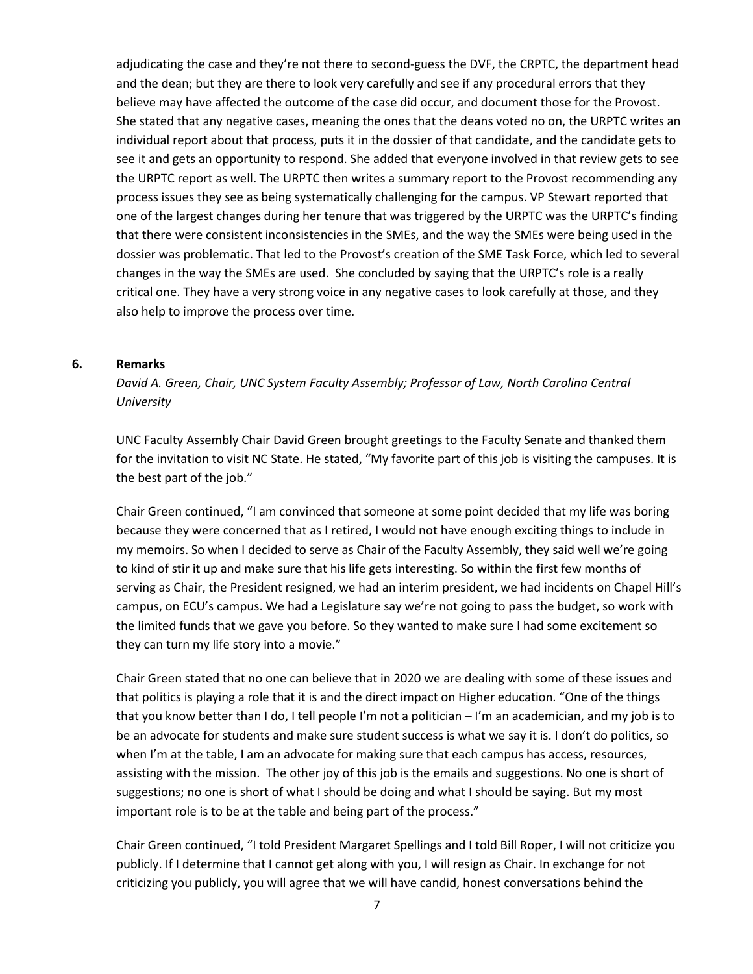adjudicating the case and they're not there to second-guess the DVF, the CRPTC, the department head and the dean; but they are there to look very carefully and see if any procedural errors that they believe may have affected the outcome of the case did occur, and document those for the Provost. She stated that any negative cases, meaning the ones that the deans voted no on, the URPTC writes an individual report about that process, puts it in the dossier of that candidate, and the candidate gets to see it and gets an opportunity to respond. She added that everyone involved in that review gets to see the URPTC report as well. The URPTC then writes a summary report to the Provost recommending any process issues they see as being systematically challenging for the campus. VP Stewart reported that one of the largest changes during her tenure that was triggered by the URPTC was the URPTC's finding that there were consistent inconsistencies in the SMEs, and the way the SMEs were being used in the dossier was problematic. That led to the Provost's creation of the SME Task Force, which led to several changes in the way the SMEs are used. She concluded by saying that the URPTC's role is a really critical one. They have a very strong voice in any negative cases to look carefully at those, and they also help to improve the process over time.

#### **6. Remarks**

*David A. Green, Chair, UNC System Faculty Assembly; Professor of Law, North Carolina Central University*

UNC Faculty Assembly Chair David Green brought greetings to the Faculty Senate and thanked them for the invitation to visit NC State. He stated, "My favorite part of this job is visiting the campuses. It is the best part of the job."

Chair Green continued, "I am convinced that someone at some point decided that my life was boring because they were concerned that as I retired, I would not have enough exciting things to include in my memoirs. So when I decided to serve as Chair of the Faculty Assembly, they said well we're going to kind of stir it up and make sure that his life gets interesting. So within the first few months of serving as Chair, the President resigned, we had an interim president, we had incidents on Chapel Hill's campus, on ECU's campus. We had a Legislature say we're not going to pass the budget, so work with the limited funds that we gave you before. So they wanted to make sure I had some excitement so they can turn my life story into a movie."

Chair Green stated that no one can believe that in 2020 we are dealing with some of these issues and that politics is playing a role that it is and the direct impact on Higher education. "One of the things that you know better than I do, I tell people I'm not a politician – I'm an academician, and my job is to be an advocate for students and make sure student success is what we say it is. I don't do politics, so when I'm at the table, I am an advocate for making sure that each campus has access, resources, assisting with the mission. The other joy of this job is the emails and suggestions. No one is short of suggestions; no one is short of what I should be doing and what I should be saying. But my most important role is to be at the table and being part of the process."

Chair Green continued, "I told President Margaret Spellings and I told Bill Roper, I will not criticize you publicly. If I determine that I cannot get along with you, I will resign as Chair. In exchange for not criticizing you publicly, you will agree that we will have candid, honest conversations behind the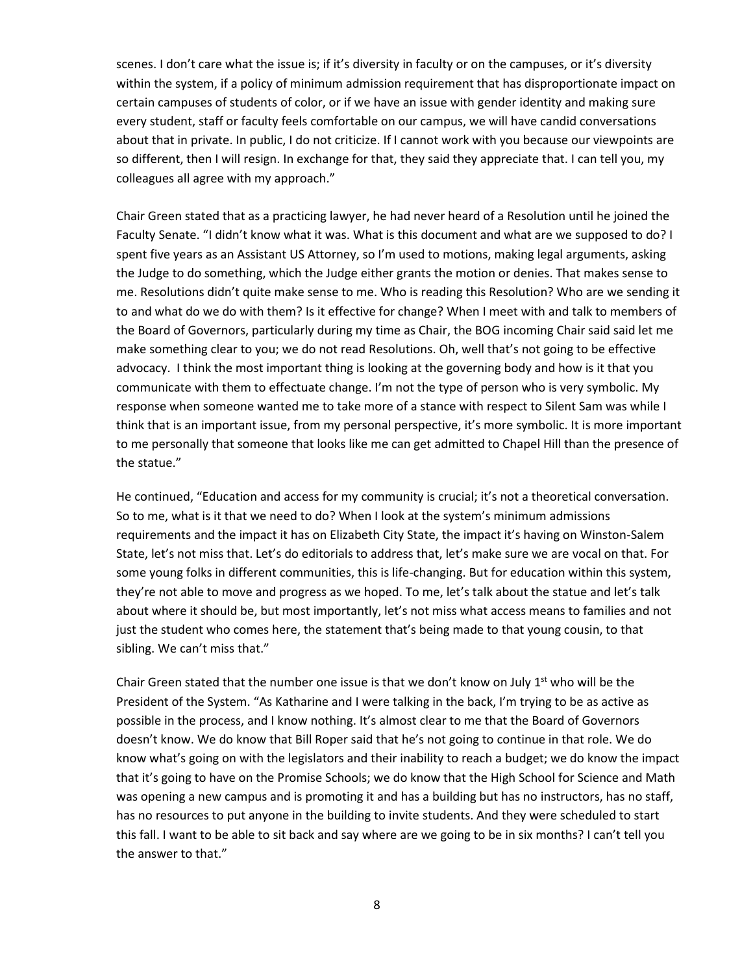scenes. I don't care what the issue is; if it's diversity in faculty or on the campuses, or it's diversity within the system, if a policy of minimum admission requirement that has disproportionate impact on certain campuses of students of color, or if we have an issue with gender identity and making sure every student, staff or faculty feels comfortable on our campus, we will have candid conversations about that in private. In public, I do not criticize. If I cannot work with you because our viewpoints are so different, then I will resign. In exchange for that, they said they appreciate that. I can tell you, my colleagues all agree with my approach."

Chair Green stated that as a practicing lawyer, he had never heard of a Resolution until he joined the Faculty Senate. "I didn't know what it was. What is this document and what are we supposed to do? I spent five years as an Assistant US Attorney, so I'm used to motions, making legal arguments, asking the Judge to do something, which the Judge either grants the motion or denies. That makes sense to me. Resolutions didn't quite make sense to me. Who is reading this Resolution? Who are we sending it to and what do we do with them? Is it effective for change? When I meet with and talk to members of the Board of Governors, particularly during my time as Chair, the BOG incoming Chair said said let me make something clear to you; we do not read Resolutions. Oh, well that's not going to be effective advocacy. I think the most important thing is looking at the governing body and how is it that you communicate with them to effectuate change. I'm not the type of person who is very symbolic. My response when someone wanted me to take more of a stance with respect to Silent Sam was while I think that is an important issue, from my personal perspective, it's more symbolic. It is more important to me personally that someone that looks like me can get admitted to Chapel Hill than the presence of the statue."

He continued, "Education and access for my community is crucial; it's not a theoretical conversation. So to me, what is it that we need to do? When I look at the system's minimum admissions requirements and the impact it has on Elizabeth City State, the impact it's having on Winston-Salem State, let's not miss that. Let's do editorials to address that, let's make sure we are vocal on that. For some young folks in different communities, this is life-changing. But for education within this system, they're not able to move and progress as we hoped. To me, let's talk about the statue and let's talk about where it should be, but most importantly, let's not miss what access means to families and not just the student who comes here, the statement that's being made to that young cousin, to that sibling. We can't miss that."

Chair Green stated that the number one issue is that we don't know on July  $1<sup>st</sup>$  who will be the President of the System. "As Katharine and I were talking in the back, I'm trying to be as active as possible in the process, and I know nothing. It's almost clear to me that the Board of Governors doesn't know. We do know that Bill Roper said that he's not going to continue in that role. We do know what's going on with the legislators and their inability to reach a budget; we do know the impact that it's going to have on the Promise Schools; we do know that the High School for Science and Math was opening a new campus and is promoting it and has a building but has no instructors, has no staff, has no resources to put anyone in the building to invite students. And they were scheduled to start this fall. I want to be able to sit back and say where are we going to be in six months? I can't tell you the answer to that."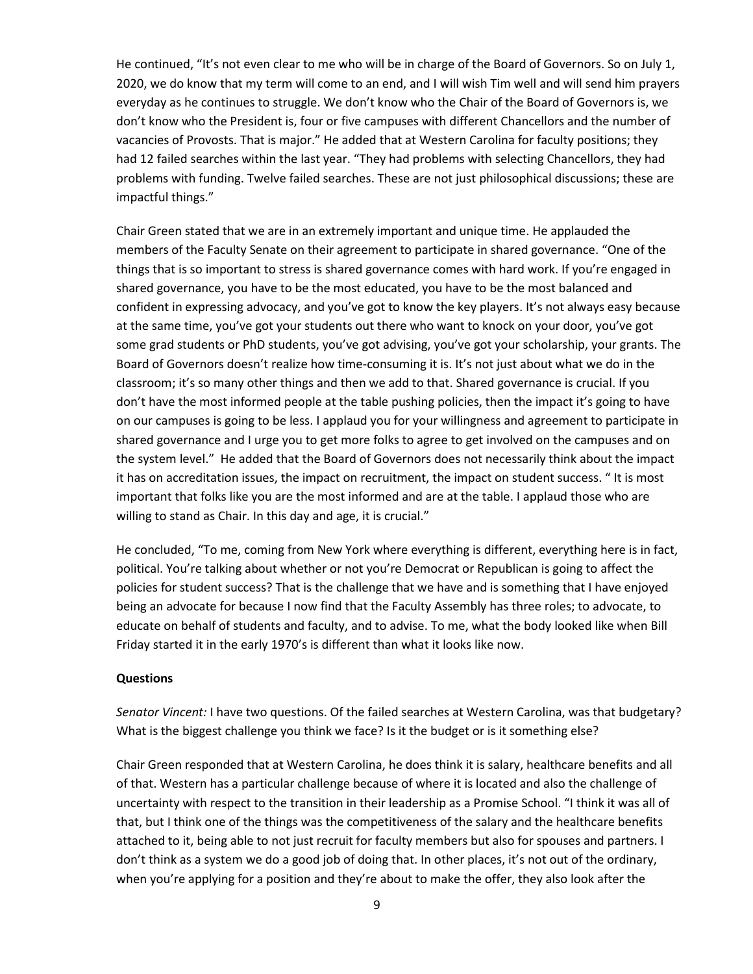He continued, "It's not even clear to me who will be in charge of the Board of Governors. So on July 1, 2020, we do know that my term will come to an end, and I will wish Tim well and will send him prayers everyday as he continues to struggle. We don't know who the Chair of the Board of Governors is, we don't know who the President is, four or five campuses with different Chancellors and the number of vacancies of Provosts. That is major." He added that at Western Carolina for faculty positions; they had 12 failed searches within the last year. "They had problems with selecting Chancellors, they had problems with funding. Twelve failed searches. These are not just philosophical discussions; these are impactful things."

Chair Green stated that we are in an extremely important and unique time. He applauded the members of the Faculty Senate on their agreement to participate in shared governance. "One of the things that is so important to stress is shared governance comes with hard work. If you're engaged in shared governance, you have to be the most educated, you have to be the most balanced and confident in expressing advocacy, and you've got to know the key players. It's not always easy because at the same time, you've got your students out there who want to knock on your door, you've got some grad students or PhD students, you've got advising, you've got your scholarship, your grants. The Board of Governors doesn't realize how time-consuming it is. It's not just about what we do in the classroom; it's so many other things and then we add to that. Shared governance is crucial. If you don't have the most informed people at the table pushing policies, then the impact it's going to have on our campuses is going to be less. I applaud you for your willingness and agreement to participate in shared governance and I urge you to get more folks to agree to get involved on the campuses and on the system level." He added that the Board of Governors does not necessarily think about the impact it has on accreditation issues, the impact on recruitment, the impact on student success. " It is most important that folks like you are the most informed and are at the table. I applaud those who are willing to stand as Chair. In this day and age, it is crucial."

He concluded, "To me, coming from New York where everything is different, everything here is in fact, political. You're talking about whether or not you're Democrat or Republican is going to affect the policies for student success? That is the challenge that we have and is something that I have enjoyed being an advocate for because I now find that the Faculty Assembly has three roles; to advocate, to educate on behalf of students and faculty, and to advise. To me, what the body looked like when Bill Friday started it in the early 1970's is different than what it looks like now.

#### **Questions**

*Senator Vincent:* I have two questions. Of the failed searches at Western Carolina, was that budgetary? What is the biggest challenge you think we face? Is it the budget or is it something else?

Chair Green responded that at Western Carolina, he does think it is salary, healthcare benefits and all of that. Western has a particular challenge because of where it is located and also the challenge of uncertainty with respect to the transition in their leadership as a Promise School. "I think it was all of that, but I think one of the things was the competitiveness of the salary and the healthcare benefits attached to it, being able to not just recruit for faculty members but also for spouses and partners. I don't think as a system we do a good job of doing that. In other places, it's not out of the ordinary, when you're applying for a position and they're about to make the offer, they also look after the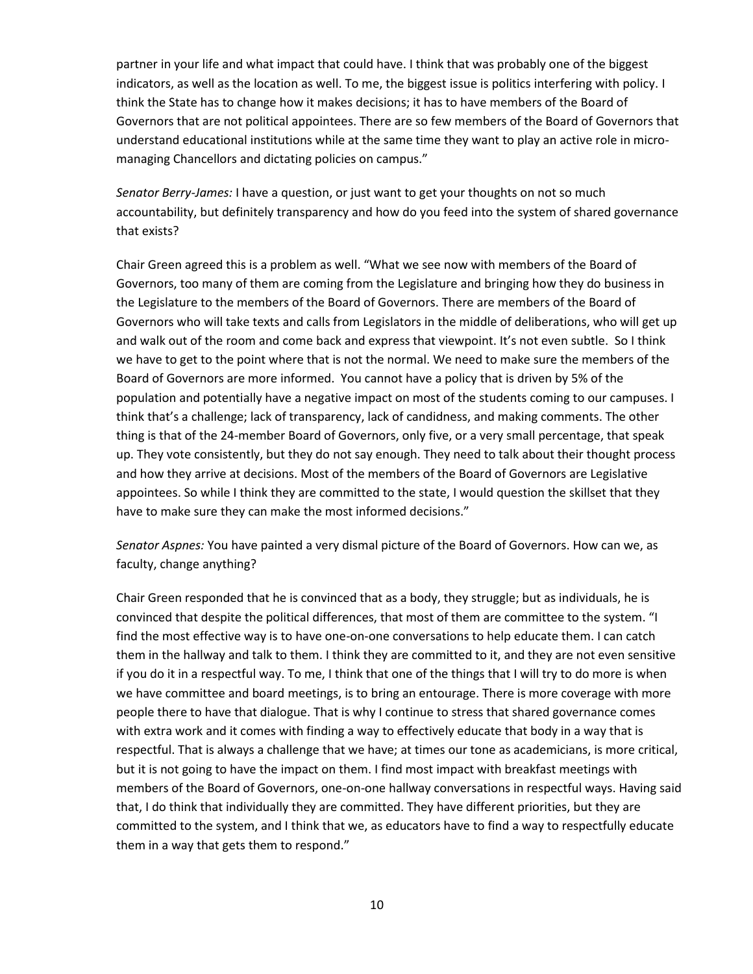partner in your life and what impact that could have. I think that was probably one of the biggest indicators, as well as the location as well. To me, the biggest issue is politics interfering with policy. I think the State has to change how it makes decisions; it has to have members of the Board of Governors that are not political appointees. There are so few members of the Board of Governors that understand educational institutions while at the same time they want to play an active role in micromanaging Chancellors and dictating policies on campus."

*Senator Berry-James:* I have a question, or just want to get your thoughts on not so much accountability, but definitely transparency and how do you feed into the system of shared governance that exists?

Chair Green agreed this is a problem as well. "What we see now with members of the Board of Governors, too many of them are coming from the Legislature and bringing how they do business in the Legislature to the members of the Board of Governors. There are members of the Board of Governors who will take texts and calls from Legislators in the middle of deliberations, who will get up and walk out of the room and come back and express that viewpoint. It's not even subtle. So I think we have to get to the point where that is not the normal. We need to make sure the members of the Board of Governors are more informed. You cannot have a policy that is driven by 5% of the population and potentially have a negative impact on most of the students coming to our campuses. I think that's a challenge; lack of transparency, lack of candidness, and making comments. The other thing is that of the 24-member Board of Governors, only five, or a very small percentage, that speak up. They vote consistently, but they do not say enough. They need to talk about their thought process and how they arrive at decisions. Most of the members of the Board of Governors are Legislative appointees. So while I think they are committed to the state, I would question the skillset that they have to make sure they can make the most informed decisions."

*Senator Aspnes:* You have painted a very dismal picture of the Board of Governors. How can we, as faculty, change anything?

Chair Green responded that he is convinced that as a body, they struggle; but as individuals, he is convinced that despite the political differences, that most of them are committee to the system. "I find the most effective way is to have one-on-one conversations to help educate them. I can catch them in the hallway and talk to them. I think they are committed to it, and they are not even sensitive if you do it in a respectful way. To me, I think that one of the things that I will try to do more is when we have committee and board meetings, is to bring an entourage. There is more coverage with more people there to have that dialogue. That is why I continue to stress that shared governance comes with extra work and it comes with finding a way to effectively educate that body in a way that is respectful. That is always a challenge that we have; at times our tone as academicians, is more critical, but it is not going to have the impact on them. I find most impact with breakfast meetings with members of the Board of Governors, one-on-one hallway conversations in respectful ways. Having said that, I do think that individually they are committed. They have different priorities, but they are committed to the system, and I think that we, as educators have to find a way to respectfully educate them in a way that gets them to respond."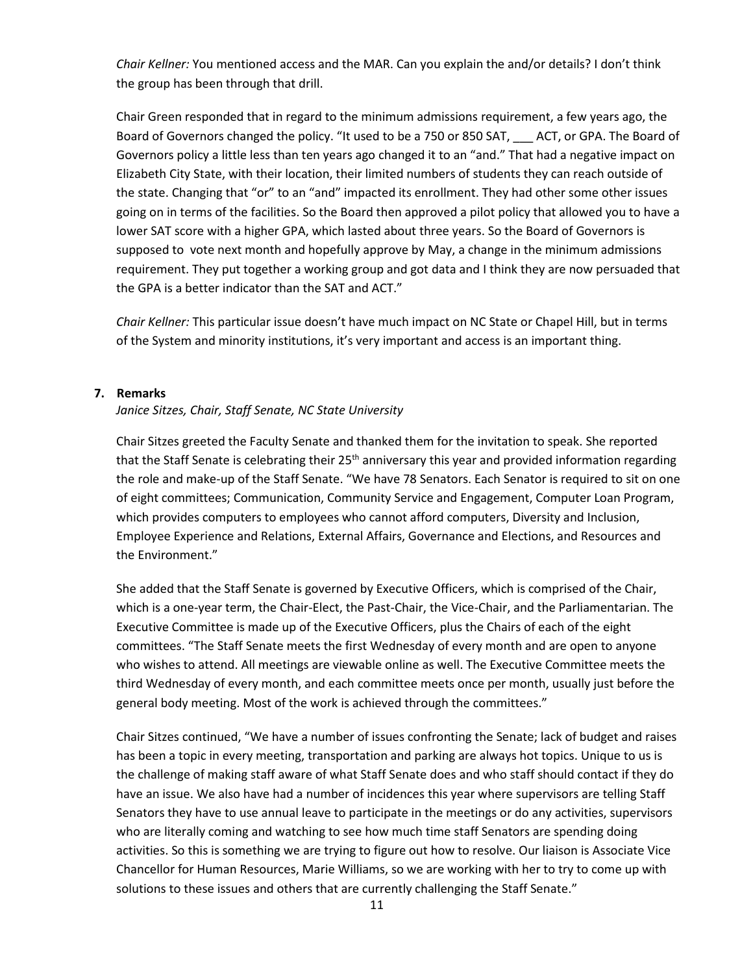*Chair Kellner:* You mentioned access and the MAR. Can you explain the and/or details? I don't think the group has been through that drill.

Chair Green responded that in regard to the minimum admissions requirement, a few years ago, the Board of Governors changed the policy. "It used to be a 750 or 850 SAT, \_\_\_ ACT, or GPA. The Board of Governors policy a little less than ten years ago changed it to an "and." That had a negative impact on Elizabeth City State, with their location, their limited numbers of students they can reach outside of the state. Changing that "or" to an "and" impacted its enrollment. They had other some other issues going on in terms of the facilities. So the Board then approved a pilot policy that allowed you to have a lower SAT score with a higher GPA, which lasted about three years. So the Board of Governors is supposed to vote next month and hopefully approve by May, a change in the minimum admissions requirement. They put together a working group and got data and I think they are now persuaded that the GPA is a better indicator than the SAT and ACT."

*Chair Kellner:* This particular issue doesn't have much impact on NC State or Chapel Hill, but in terms of the System and minority institutions, it's very important and access is an important thing.

#### **7. Remarks**

#### *Janice Sitzes, Chair, Staff Senate, NC State University*

Chair Sitzes greeted the Faculty Senate and thanked them for the invitation to speak. She reported that the Staff Senate is celebrating their 25<sup>th</sup> anniversary this year and provided information regarding the role and make-up of the Staff Senate. "We have 78 Senators. Each Senator is required to sit on one of eight committees; Communication, Community Service and Engagement, Computer Loan Program, which provides computers to employees who cannot afford computers, Diversity and Inclusion, Employee Experience and Relations, External Affairs, Governance and Elections, and Resources and the Environment."

She added that the Staff Senate is governed by Executive Officers, which is comprised of the Chair, which is a one-year term, the Chair-Elect, the Past-Chair, the Vice-Chair, and the Parliamentarian. The Executive Committee is made up of the Executive Officers, plus the Chairs of each of the eight committees. "The Staff Senate meets the first Wednesday of every month and are open to anyone who wishes to attend. All meetings are viewable online as well. The Executive Committee meets the third Wednesday of every month, and each committee meets once per month, usually just before the general body meeting. Most of the work is achieved through the committees."

Chair Sitzes continued, "We have a number of issues confronting the Senate; lack of budget and raises has been a topic in every meeting, transportation and parking are always hot topics. Unique to us is the challenge of making staff aware of what Staff Senate does and who staff should contact if they do have an issue. We also have had a number of incidences this year where supervisors are telling Staff Senators they have to use annual leave to participate in the meetings or do any activities, supervisors who are literally coming and watching to see how much time staff Senators are spending doing activities. So this is something we are trying to figure out how to resolve. Our liaison is Associate Vice Chancellor for Human Resources, Marie Williams, so we are working with her to try to come up with solutions to these issues and others that are currently challenging the Staff Senate."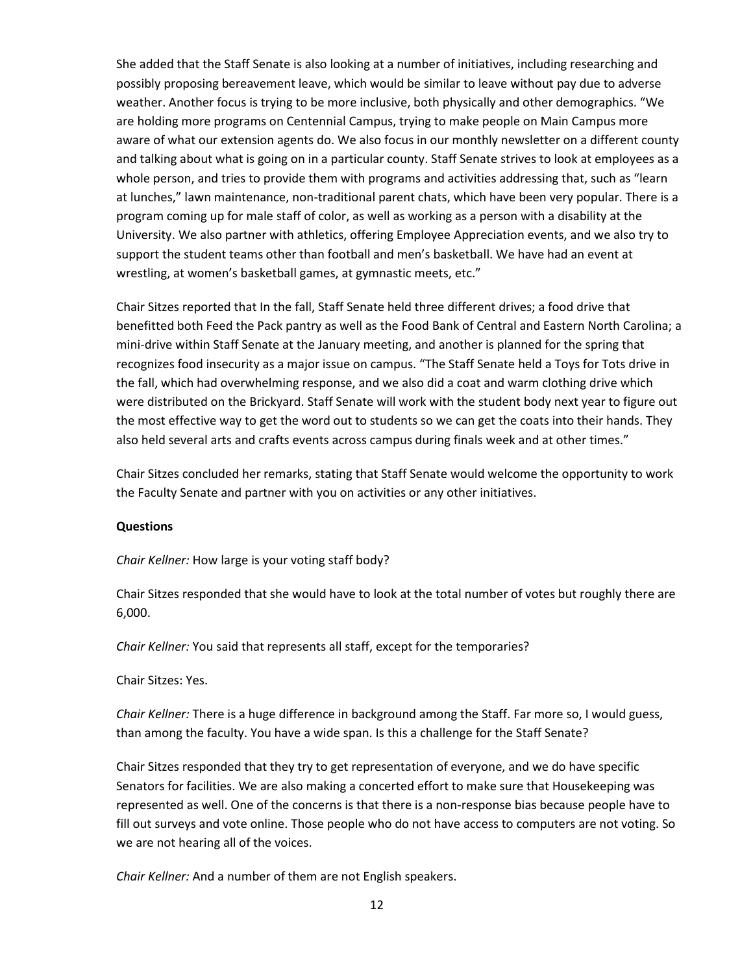She added that the Staff Senate is also looking at a number of initiatives, including researching and possibly proposing bereavement leave, which would be similar to leave without pay due to adverse weather. Another focus is trying to be more inclusive, both physically and other demographics. "We are holding more programs on Centennial Campus, trying to make people on Main Campus more aware of what our extension agents do. We also focus in our monthly newsletter on a different county and talking about what is going on in a particular county. Staff Senate strives to look at employees as a whole person, and tries to provide them with programs and activities addressing that, such as "learn at lunches," lawn maintenance, non-traditional parent chats, which have been very popular. There is a program coming up for male staff of color, as well as working as a person with a disability at the University. We also partner with athletics, offering Employee Appreciation events, and we also try to support the student teams other than football and men's basketball. We have had an event at wrestling, at women's basketball games, at gymnastic meets, etc."

Chair Sitzes reported that In the fall, Staff Senate held three different drives; a food drive that benefitted both Feed the Pack pantry as well as the Food Bank of Central and Eastern North Carolina; a mini-drive within Staff Senate at the January meeting, and another is planned for the spring that recognizes food insecurity as a major issue on campus. "The Staff Senate held a Toys for Tots drive in the fall, which had overwhelming response, and we also did a coat and warm clothing drive which were distributed on the Brickyard. Staff Senate will work with the student body next year to figure out the most effective way to get the word out to students so we can get the coats into their hands. They also held several arts and crafts events across campus during finals week and at other times."

Chair Sitzes concluded her remarks, stating that Staff Senate would welcome the opportunity to work the Faculty Senate and partner with you on activities or any other initiatives.

# **Questions**

*Chair Kellner:* How large is your voting staff body?

Chair Sitzes responded that she would have to look at the total number of votes but roughly there are 6,000.

*Chair Kellner:* You said that represents all staff, except for the temporaries?

Chair Sitzes: Yes.

*Chair Kellner:* There is a huge difference in background among the Staff. Far more so, I would guess, than among the faculty. You have a wide span. Is this a challenge for the Staff Senate?

Chair Sitzes responded that they try to get representation of everyone, and we do have specific Senators for facilities. We are also making a concerted effort to make sure that Housekeeping was represented as well. One of the concerns is that there is a non-response bias because people have to fill out surveys and vote online. Those people who do not have access to computers are not voting. So we are not hearing all of the voices.

*Chair Kellner:* And a number of them are not English speakers.